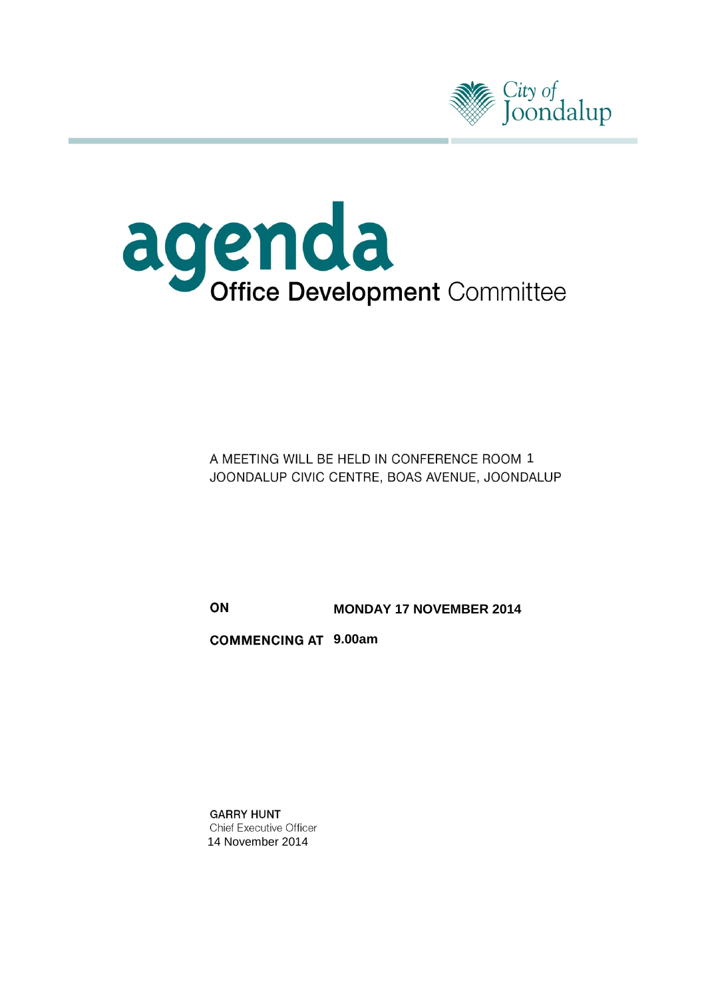



A MEETING WILL BE HELD IN CONFERENCE ROOM 1 JOONDALUP CIVIC CENTRE, BOAS AVENUE, JOONDALUP

ON **MONDAY 17 NOVEMBER 2014**

**9.00am**

**GARRY HUNT** Chief Executive Officer 14 November 2014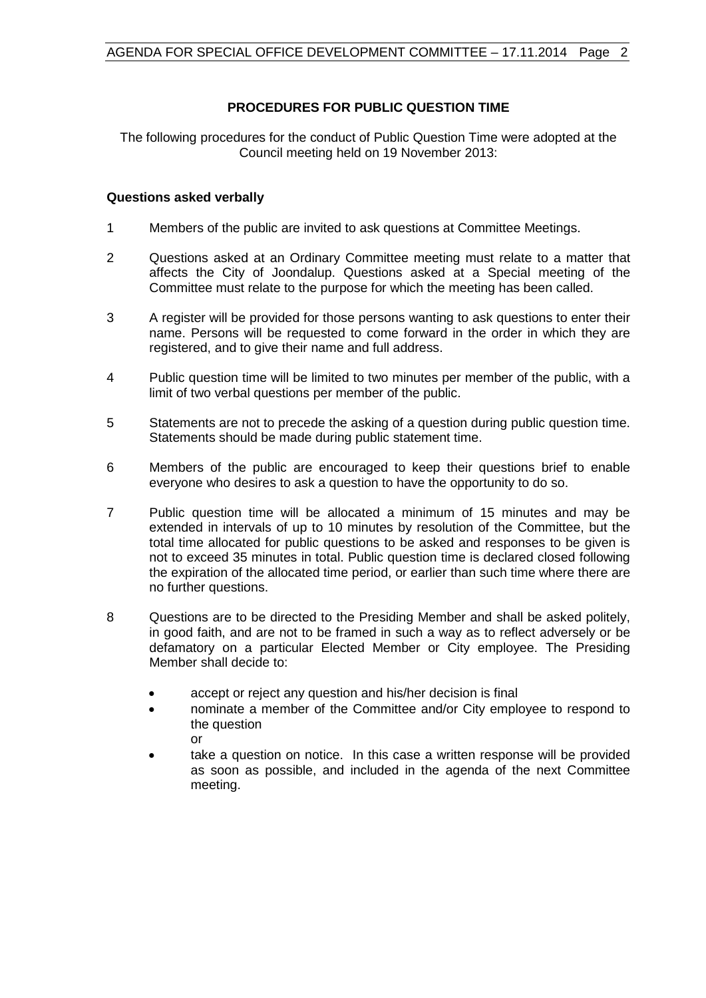# **PROCEDURES FOR PUBLIC QUESTION TIME**

The following procedures for the conduct of Public Question Time were adopted at the Council meeting held on 19 November 2013:

#### **Questions asked verbally**

- 1 Members of the public are invited to ask questions at Committee Meetings.
- 2 Questions asked at an Ordinary Committee meeting must relate to a matter that affects the City of Joondalup. Questions asked at a Special meeting of the Committee must relate to the purpose for which the meeting has been called.
- 3 A register will be provided for those persons wanting to ask questions to enter their name. Persons will be requested to come forward in the order in which they are registered, and to give their name and full address.
- 4 Public question time will be limited to two minutes per member of the public, with a limit of two verbal questions per member of the public.
- 5 Statements are not to precede the asking of a question during public question time. Statements should be made during public statement time.
- 6 Members of the public are encouraged to keep their questions brief to enable everyone who desires to ask a question to have the opportunity to do so.
- 7 Public question time will be allocated a minimum of 15 minutes and may be extended in intervals of up to 10 minutes by resolution of the Committee, but the total time allocated for public questions to be asked and responses to be given is not to exceed 35 minutes in total. Public question time is declared closed following the expiration of the allocated time period, or earlier than such time where there are no further questions.
- 8 Questions are to be directed to the Presiding Member and shall be asked politely, in good faith, and are not to be framed in such a way as to reflect adversely or be defamatory on a particular Elected Member or City employee. The Presiding Member shall decide to:
	- accept or reject any question and his/her decision is final
	- nominate a member of the Committee and/or City employee to respond to the question or
	- take a question on notice. In this case a written response will be provided as soon as possible, and included in the agenda of the next Committee meeting.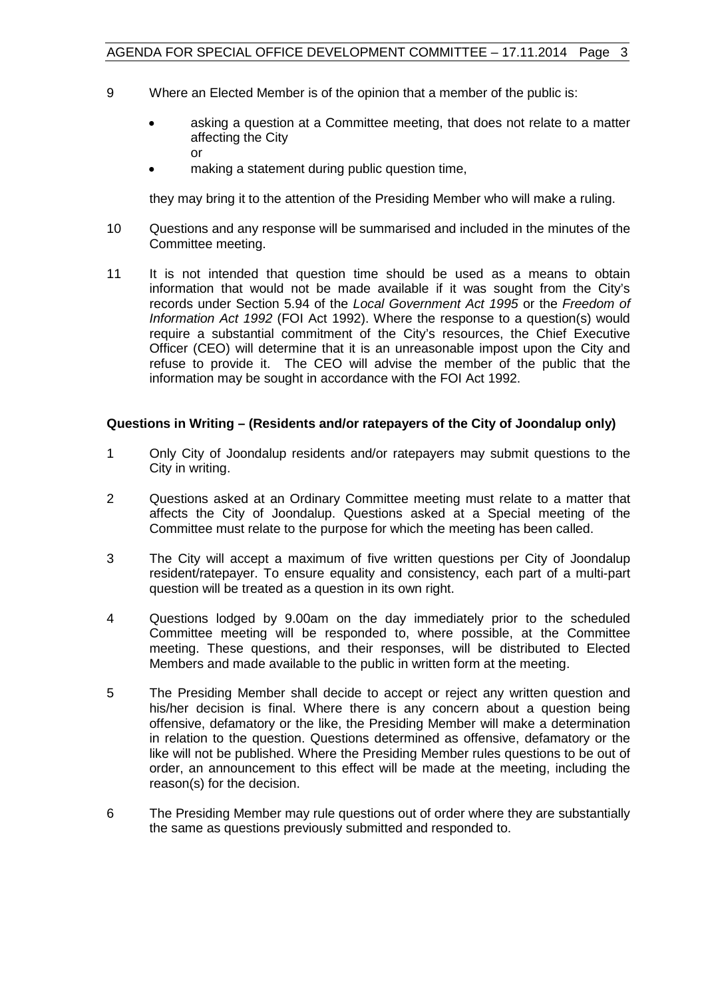- 9 Where an Elected Member is of the opinion that a member of the public is:
	- asking a question at a Committee meeting, that does not relate to a matter affecting the City or
	- making a statement during public question time,

they may bring it to the attention of the Presiding Member who will make a ruling.

- 10 Questions and any response will be summarised and included in the minutes of the Committee meeting.
- 11 It is not intended that question time should be used as a means to obtain information that would not be made available if it was sought from the City's records under Section 5.94 of the *Local Government Act 1995* or the *Freedom of Information Act 1992* (FOI Act 1992). Where the response to a question(s) would require a substantial commitment of the City's resources, the Chief Executive Officer (CEO) will determine that it is an unreasonable impost upon the City and refuse to provide it. The CEO will advise the member of the public that the information may be sought in accordance with the FOI Act 1992.

## **Questions in Writing – (Residents and/or ratepayers of the City of Joondalup only)**

- 1 Only City of Joondalup residents and/or ratepayers may submit questions to the City in writing.
- 2 Questions asked at an Ordinary Committee meeting must relate to a matter that affects the City of Joondalup. Questions asked at a Special meeting of the Committee must relate to the purpose for which the meeting has been called.
- 3 The City will accept a maximum of five written questions per City of Joondalup resident/ratepayer. To ensure equality and consistency, each part of a multi-part question will be treated as a question in its own right.
- 4 Questions lodged by 9.00am on the day immediately prior to the scheduled Committee meeting will be responded to, where possible, at the Committee meeting. These questions, and their responses, will be distributed to Elected Members and made available to the public in written form at the meeting.
- 5 The Presiding Member shall decide to accept or reject any written question and his/her decision is final. Where there is any concern about a question being offensive, defamatory or the like, the Presiding Member will make a determination in relation to the question. Questions determined as offensive, defamatory or the like will not be published. Where the Presiding Member rules questions to be out of order, an announcement to this effect will be made at the meeting, including the reason(s) for the decision.
- 6 The Presiding Member may rule questions out of order where they are substantially the same as questions previously submitted and responded to.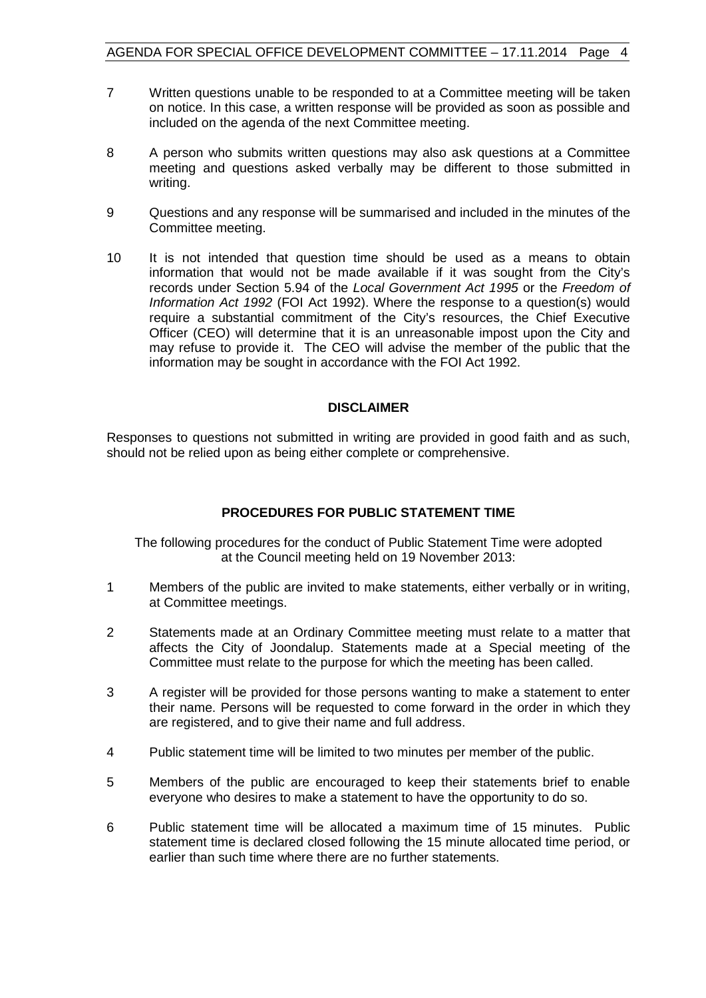- 7 Written questions unable to be responded to at a Committee meeting will be taken on notice. In this case, a written response will be provided as soon as possible and included on the agenda of the next Committee meeting.
- 8 A person who submits written questions may also ask questions at a Committee meeting and questions asked verbally may be different to those submitted in writing.
- 9 Questions and any response will be summarised and included in the minutes of the Committee meeting.
- 10 It is not intended that question time should be used as a means to obtain information that would not be made available if it was sought from the City's records under Section 5.94 of the *Local Government Act 1995* or the *Freedom of Information Act 1992* (FOI Act 1992). Where the response to a question(s) would require a substantial commitment of the City's resources, the Chief Executive Officer (CEO) will determine that it is an unreasonable impost upon the City and may refuse to provide it. The CEO will advise the member of the public that the information may be sought in accordance with the FOI Act 1992.

#### **DISCLAIMER**

Responses to questions not submitted in writing are provided in good faith and as such, should not be relied upon as being either complete or comprehensive.

# **PROCEDURES FOR PUBLIC STATEMENT TIME**

The following procedures for the conduct of Public Statement Time were adopted at the Council meeting held on 19 November 2013:

- 1 Members of the public are invited to make statements, either verbally or in writing, at Committee meetings.
- 2 Statements made at an Ordinary Committee meeting must relate to a matter that affects the City of Joondalup. Statements made at a Special meeting of the Committee must relate to the purpose for which the meeting has been called.
- 3 A register will be provided for those persons wanting to make a statement to enter their name. Persons will be requested to come forward in the order in which they are registered, and to give their name and full address.
- 4 Public statement time will be limited to two minutes per member of the public.
- 5 Members of the public are encouraged to keep their statements brief to enable everyone who desires to make a statement to have the opportunity to do so.
- 6 Public statement time will be allocated a maximum time of 15 minutes. Public statement time is declared closed following the 15 minute allocated time period, or earlier than such time where there are no further statements.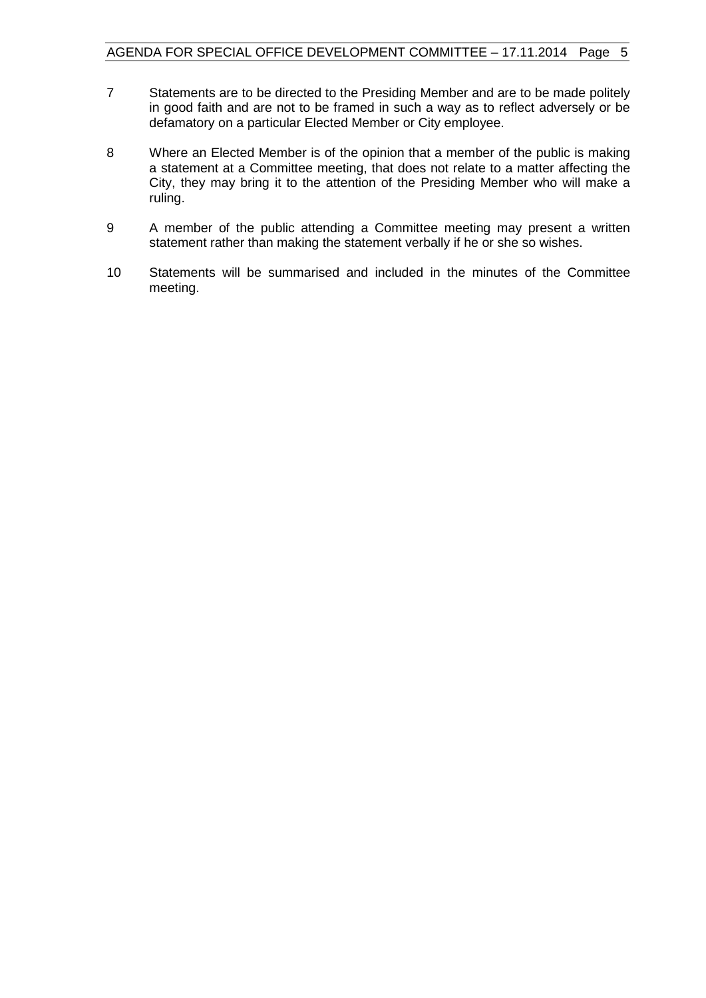- 7 Statements are to be directed to the Presiding Member and are to be made politely in good faith and are not to be framed in such a way as to reflect adversely or be defamatory on a particular Elected Member or City employee.
- 8 Where an Elected Member is of the opinion that a member of the public is making a statement at a Committee meeting, that does not relate to a matter affecting the City, they may bring it to the attention of the Presiding Member who will make a ruling.
- 9 A member of the public attending a Committee meeting may present a written statement rather than making the statement verbally if he or she so wishes.
- 10 Statements will be summarised and included in the minutes of the Committee meeting.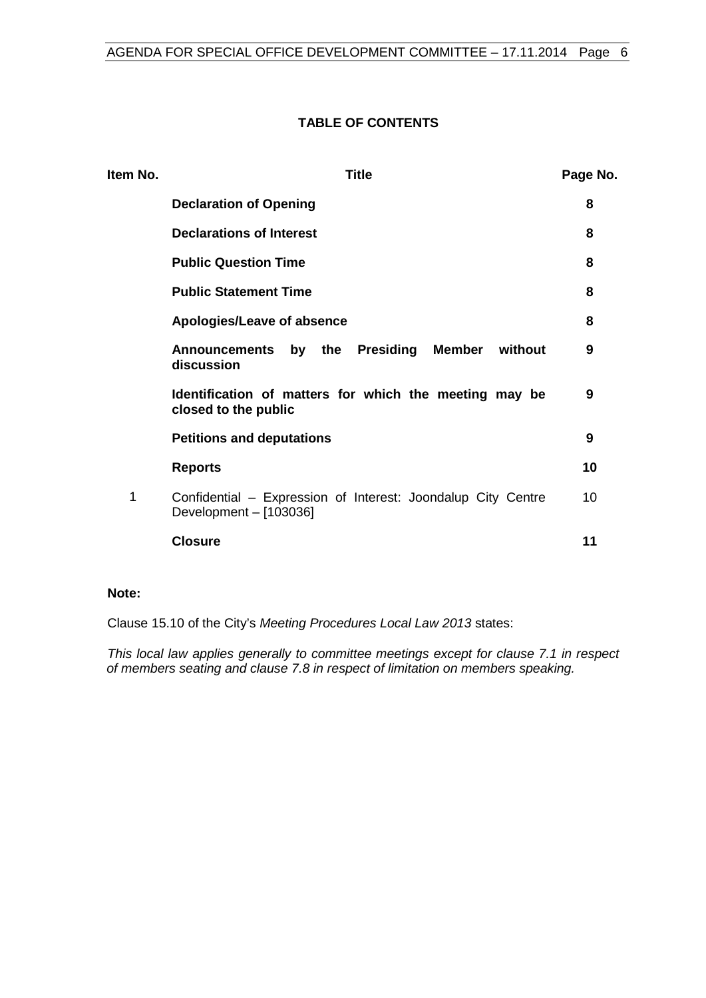# **TABLE OF CONTENTS**

| Item No. | Title                                                                                  |    |  |
|----------|----------------------------------------------------------------------------------------|----|--|
|          | <b>Declaration of Opening</b>                                                          | 8  |  |
|          | <b>Declarations of Interest</b>                                                        | 8  |  |
|          | <b>Public Question Time</b>                                                            | 8  |  |
|          | <b>Public Statement Time</b>                                                           | 8  |  |
|          | Apologies/Leave of absence                                                             | 8  |  |
|          | Announcements by the Presiding<br>Member without<br>discussion                         | 9  |  |
|          | Identification of matters for which the meeting may be<br>closed to the public         | 9  |  |
|          | <b>Petitions and deputations</b>                                                       | 9  |  |
|          | <b>Reports</b>                                                                         | 10 |  |
| 1        | Confidential - Expression of Interest: Joondalup City Centre<br>Development - [103036] | 10 |  |
|          | <b>Closure</b>                                                                         | 11 |  |

## **Note:**

Clause 15.10 of the City's *Meeting Procedures Local Law 2013* states:

*This local law applies generally to committee meetings except for clause 7.1 in respect of members seating and clause 7.8 in respect of limitation on members speaking.*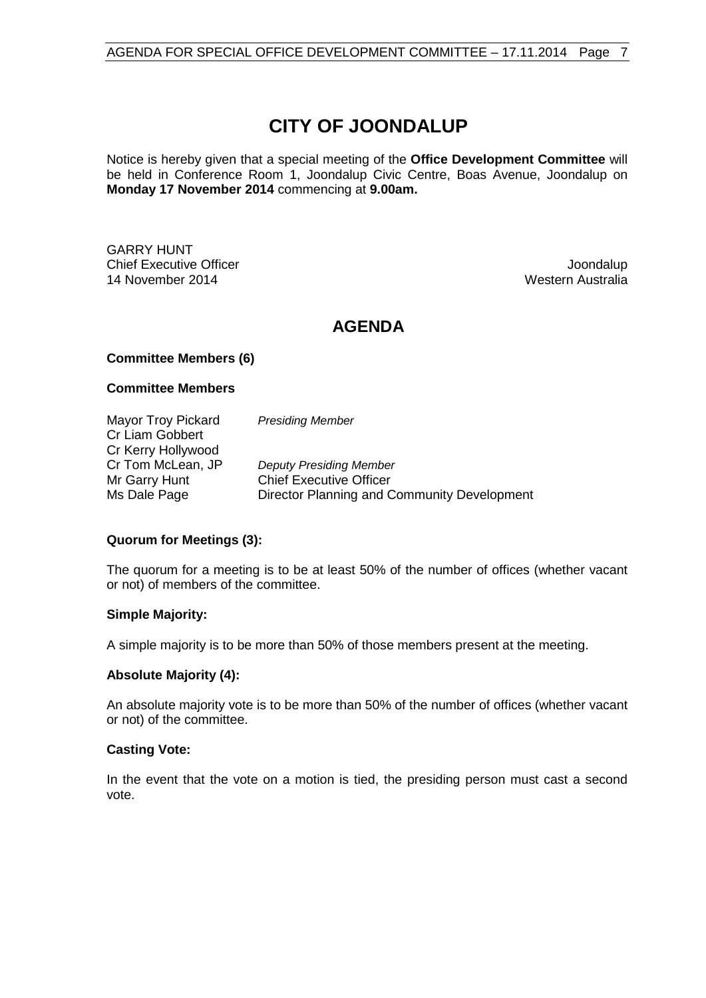# **CITY OF JOONDALUP**

Notice is hereby given that a special meeting of the **Office Development Committee** will be held in Conference Room 1, Joondalup Civic Centre, Boas Avenue, Joondalup on **Monday 17 November 2014** commencing at **9.00am.**

GARRY HUNT **Chief Executive Officer Joseph According to the Chief Executive Officer Joseph According to the Chief According to the Chief According to the Chief According to the Chief According to the Chief According to the Chief Acco** 14 November 2014 **Western Australia** Western Australia

# **AGENDA**

#### **Committee Members (6)**

#### **Committee Members**

Mayor Troy Pickard *Presiding Member* Cr Liam Gobbert Cr Kerry Hollywood<br>Cr Tom McLean, JP Cr Tom McLean, JP *Deputy Presiding Member* **Chief Executive Officer** Ms Dale Page Director Planning and Community Development

#### **Quorum for Meetings (3):**

The quorum for a meeting is to be at least 50% of the number of offices (whether vacant or not) of members of the committee.

#### **Simple Majority:**

A simple majority is to be more than 50% of those members present at the meeting.

#### **Absolute Majority (4):**

An absolute majority vote is to be more than 50% of the number of offices (whether vacant or not) of the committee.

#### **Casting Vote:**

In the event that the vote on a motion is tied, the presiding person must cast a second vote.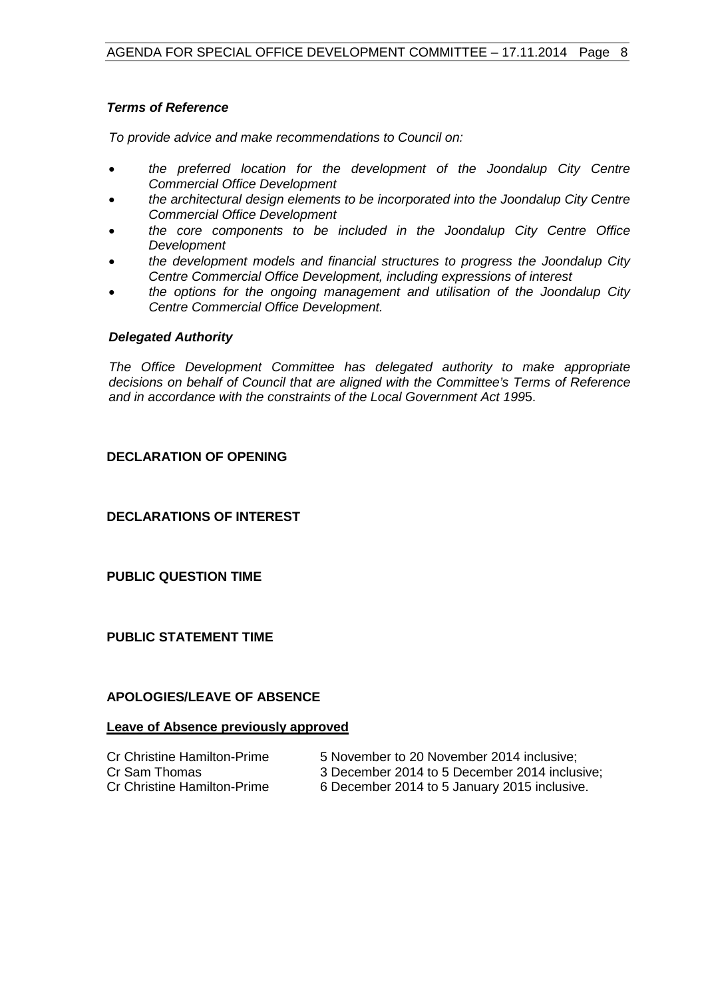## *Terms of Reference*

*To provide advice and make recommendations to Council on:*

- *the preferred location for the development of the Joondalup City Centre Commercial Office Development*
- *the architectural design elements to be incorporated into the Joondalup City Centre Commercial Office Development*
- *the core components to be included in the Joondalup City Centre Office Development*
- *the development models and financial structures to progress the Joondalup City Centre Commercial Office Development, including expressions of interest*
- *the options for the ongoing management and utilisation of the Joondalup City Centre Commercial Office Development.*

#### *Delegated Authority*

*The Office Development Committee has delegated authority to make appropriate decisions on behalf of Council that are aligned with the Committee's Terms of Reference and in accordance with the constraints of the Local Government Act 199*5.

## <span id="page-7-0"></span>**DECLARATION OF OPENING**

<span id="page-7-1"></span>**DECLARATIONS OF INTEREST**

<span id="page-7-2"></span>**PUBLIC QUESTION TIME**

<span id="page-7-3"></span>**PUBLIC STATEMENT TIME**

#### <span id="page-7-4"></span>**APOLOGIES/LEAVE OF ABSENCE**

# **Leave of Absence previously approved**

- 
- 
- Cr Christine Hamilton-Prime 5 November to 20 November 2014 inclusive;
- Cr Sam Thomas 3 December 2014 to 5 December 2014 inclusive;<br>Cr Christine Hamilton-Prime 6 December 2014 to 5 January 2015 inclusive.
	- 6 December 2014 to 5 January 2015 inclusive.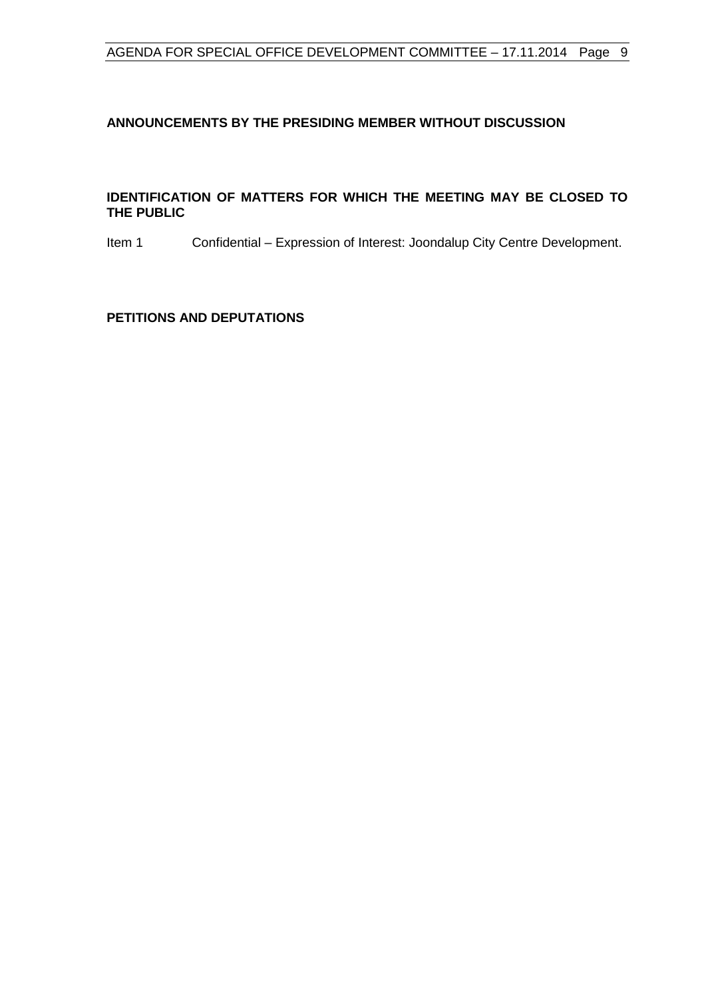# <span id="page-8-0"></span>**ANNOUNCEMENTS BY THE PRESIDING MEMBER WITHOUT DISCUSSION**

#### <span id="page-8-1"></span>**IDENTIFICATION OF MATTERS FOR WHICH THE MEETING MAY BE CLOSED TO THE PUBLIC**

Item 1 Confidential – Expression of Interest: Joondalup City Centre Development.

#### <span id="page-8-2"></span>**PETITIONS AND DEPUTATIONS**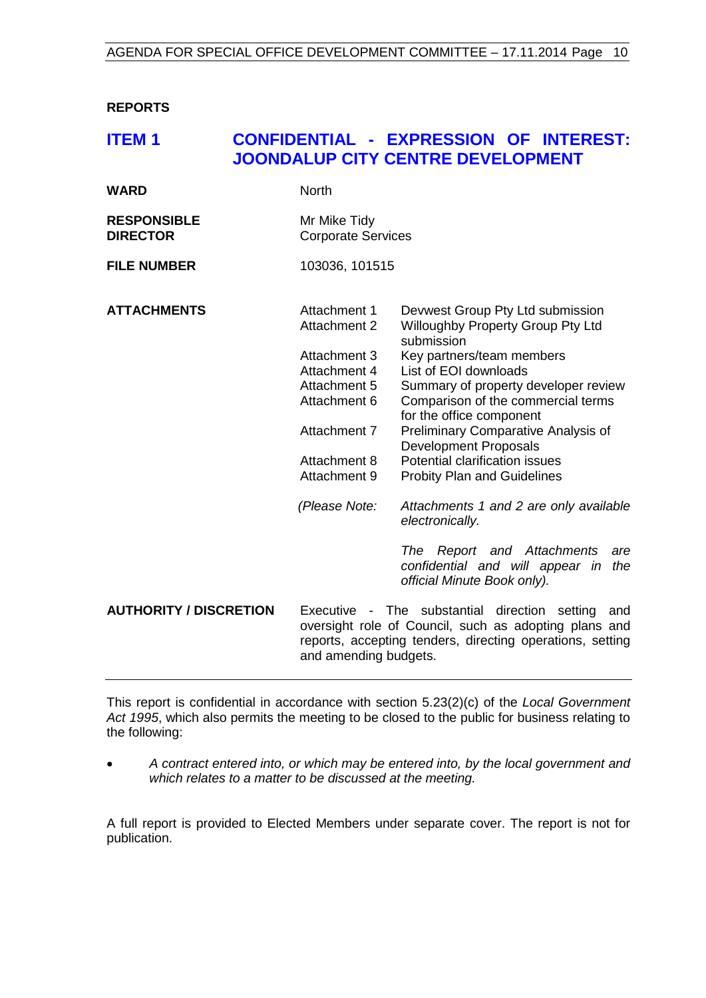<span id="page-9-0"></span>**REPORTS**

# <span id="page-9-1"></span>**ITEM 1 CONFIDENTIAL - EXPRESSION OF INTEREST: JOONDALUP CITY CENTRE DEVELOPMENT**

| <b>RESPONSIBLE</b> | Mr Mike Tidy              |
|--------------------|---------------------------|
| <b>DIRECTOR</b>    | <b>Corporate Services</b> |
|                    |                           |

**FILE NUMBER** 103036, 101515

**WARD** North

| <b>ATTACHMENTS</b>            | Attachment 1<br><b>Attachment 2</b> | Devwest Group Pty Ltd submission<br><b>Willoughby Property Group Pty Ltd</b><br>submission                                                                                 |
|-------------------------------|-------------------------------------|----------------------------------------------------------------------------------------------------------------------------------------------------------------------------|
|                               | Attachment 3                        | Key partners/team members                                                                                                                                                  |
|                               | Attachment 4                        | List of EOI downloads                                                                                                                                                      |
|                               | Attachment 5                        | Summary of property developer review                                                                                                                                       |
|                               | Attachment 6                        | Comparison of the commercial terms<br>for the office component                                                                                                             |
|                               | Attachment 7                        | Preliminary Comparative Analysis of<br>Development Proposals                                                                                                               |
|                               | Attachment 8                        | Potential clarification issues                                                                                                                                             |
|                               | Attachment 9                        | <b>Probity Plan and Guidelines</b>                                                                                                                                         |
|                               | (Please Note:                       | Attachments 1 and 2 are only available<br>electronically.                                                                                                                  |
|                               |                                     | The Report and Attachments<br>are<br>confidential and will appear in<br>the<br>official Minute Book only).                                                                 |
| <b>AUTHORITY / DISCRETION</b> | and amending budgets.               | Executive - The substantial direction setting<br>and<br>oversight role of Council, such as adopting plans and<br>reports, accepting tenders, directing operations, setting |

This report is confidential in accordance with section 5.23(2)(c) of the *Local Government Act 1995*, which also permits the meeting to be closed to the public for business relating to the following:

• *A contract entered into, or which may be entered into, by the local government and which relates to a matter to be discussed at the meeting.*

A full report is provided to Elected Members under separate cover. The report is not for publication.